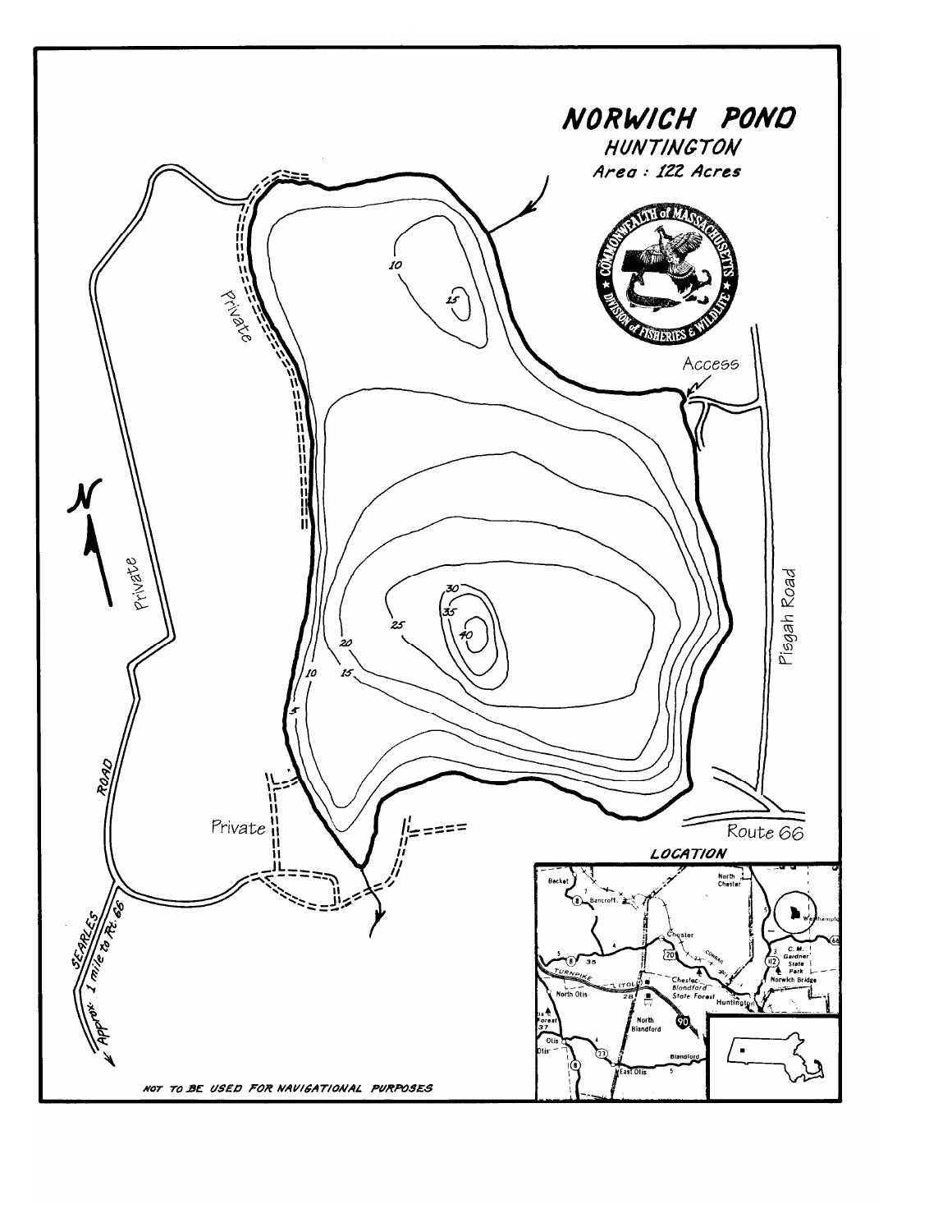